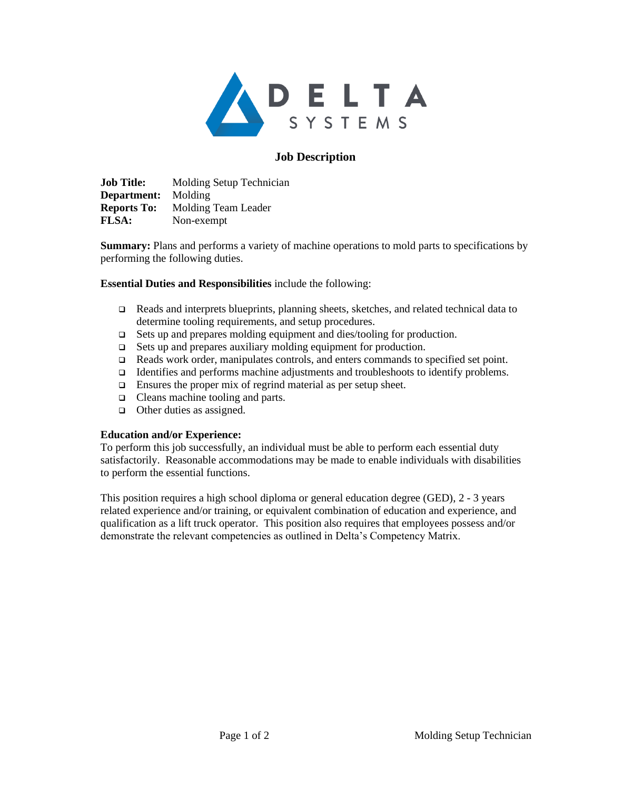

# **Job Description**

**Job Title:** Molding Setup Technician **Department:** Molding **Reports To:** Molding Team Leader **FLSA:** Non-exempt

**Summary:** Plans and performs a variety of machine operations to mold parts to specifications by performing the following duties.

#### **Essential Duties and Responsibilities** include the following:

- ❑ Reads and interprets blueprints, planning sheets, sketches, and related technical data to determine tooling requirements, and setup procedures.
- ❑ Sets up and prepares molding equipment and dies/tooling for production.
- ❑ Sets up and prepares auxiliary molding equipment for production.
- ❑ Reads work order, manipulates controls, and enters commands to specified set point.
- ❑ Identifies and performs machine adjustments and troubleshoots to identify problems.
- ❑ Ensures the proper mix of regrind material as per setup sheet.
- ❑ Cleans machine tooling and parts.
- ❑ Other duties as assigned.

### **Education and/or Experience:**

To perform this job successfully, an individual must be able to perform each essential duty satisfactorily. Reasonable accommodations may be made to enable individuals with disabilities to perform the essential functions.

This position requires a high school diploma or general education degree (GED), 2 - 3 years related experience and/or training, or equivalent combination of education and experience, and qualification as a lift truck operator. This position also requires that employees possess and/or demonstrate the relevant competencies as outlined in Delta's Competency Matrix.